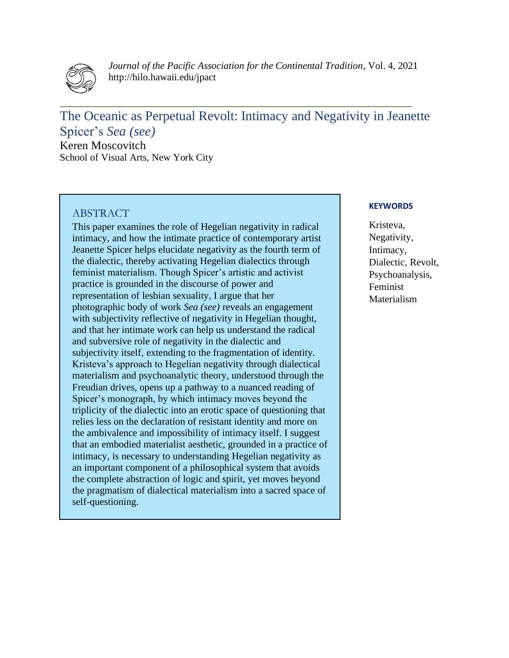

*Journal of the Pacific Association for the Continental Tradition*, Vol. 4, 2021 http://hilo.hawaii.edu/jpact

The Oceanic as Perpetual Revolt: Intimacy and Negativity in Jeanette Spicer's *Sea (see)* Keren Moscovitch

**\_\_\_\_\_\_\_\_\_\_\_\_\_\_\_\_\_\_\_\_\_\_\_\_\_\_\_\_\_\_\_\_\_\_\_\_\_\_\_\_\_\_\_\_\_\_\_\_\_\_\_\_\_\_\_\_\_\_\_\_\_\_\_\_\_\_\_\_\_\_\_\_\_\_\_\_\_**

School of Visual Arts, New York City

# ABSTRACT

This paper examines the role of Hegelian negativity in radical intimacy, and how the intimate practice of contemporary artist Jeanette Spicer helps elucidate negativity as the fourth term of the dialectic, thereby activating Hegelian dialectics through feminist materialism. Though Spicer's artistic and activist practice is grounded in the discourse of power and representation of lesbian sexuality, I argue that her photographic body of work *Sea (see)* reveals an engagement with subjectivity reflective of negativity in Hegelian thought, and that her intimate work can help us understand the radical and subversive role of negativity in the dialectic and subjectivity itself, extending to the fragmentation of identity. Kristeva's approach to Hegelian negativity through dialectical materialism and psychoanalytic theory, understood through the Freudian drives, opens up a pathway to a nuanced reading of Spicer's monograph, by which intimacy moves beyond the triplicity of the dialectic into an erotic space of questioning that relies less on the declaration of resistant identity and more on the ambivalence and impossibility of intimacy itself. I suggest that an embodied materialist aesthetic, grounded in a practice of intimacy, is necessary to understanding Hegelian negativity as an important component of a philosophical system that avoids the complete abstraction of logic and spirit, yet moves beyond the pragmatism of dialectical materialism into a sacred space of self-questioning.

### **KEYWORDS**

Kristeva, Negativity, Intimacy, Dialectic, Revolt, Psychoanalysis, Feminist Materialism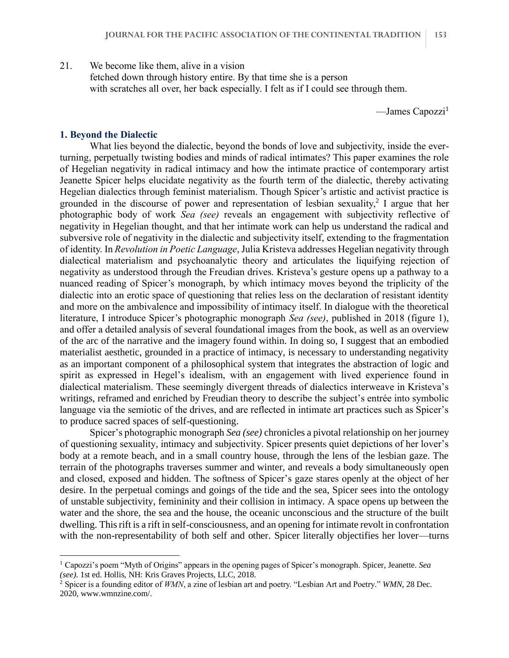21. We become like them, alive in a vision

fetched down through history entire. By that time she is a person with scratches all over, her back especially. I felt as if I could see through them.

 $-$ James Capozzi<sup>1</sup>

### **1. Beyond the Dialectic**

What lies beyond the dialectic, beyond the bonds of love and subjectivity, inside the everturning, perpetually twisting bodies and minds of radical intimates? This paper examines the role of Hegelian negativity in radical intimacy and how the intimate practice of contemporary artist Jeanette Spicer helps elucidate negativity as the fourth term of the dialectic, thereby activating Hegelian dialectics through feminist materialism. Though Spicer's artistic and activist practice is grounded in the discourse of power and representation of lesbian sexuality,<sup>2</sup> I argue that her photographic body of work *Sea (see)* reveals an engagement with subjectivity reflective of negativity in Hegelian thought, and that her intimate work can help us understand the radical and subversive role of negativity in the dialectic and subjectivity itself, extending to the fragmentation of identity. In *Revolution in Poetic Language*, Julia Kristeva addresses Hegelian negativity through dialectical materialism and psychoanalytic theory and articulates the liquifying rejection of negativity as understood through the Freudian drives. Kristeva's gesture opens up a pathway to a nuanced reading of Spicer's monograph, by which intimacy moves beyond the triplicity of the dialectic into an erotic space of questioning that relies less on the declaration of resistant identity and more on the ambivalence and impossibility of intimacy itself. In dialogue with the theoretical literature, I introduce Spicer's photographic monograph *Sea (see)*, published in 2018 (figure 1), and offer a detailed analysis of several foundational images from the book, as well as an overview of the arc of the narrative and the imagery found within. In doing so, I suggest that an embodied materialist aesthetic, grounded in a practice of intimacy, is necessary to understanding negativity as an important component of a philosophical system that integrates the abstraction of logic and spirit as expressed in Hegel's idealism, with an engagement with lived experience found in dialectical materialism. These seemingly divergent threads of dialectics interweave in Kristeva's writings, reframed and enriched by Freudian theory to describe the subject's entrée into symbolic language via the semiotic of the drives, and are reflected in intimate art practices such as Spicer's to produce sacred spaces of self-questioning.

Spicer's photographic monograph *Sea (see)* chronicles a pivotal relationship on her journey of questioning sexuality, intimacy and subjectivity. Spicer presents quiet depictions of her lover's body at a remote beach, and in a small country house, through the lens of the lesbian gaze. The terrain of the photographs traverses summer and winter, and reveals a body simultaneously open and closed, exposed and hidden. The softness of Spicer's gaze stares openly at the object of her desire. In the perpetual comings and goings of the tide and the sea, Spicer sees into the ontology of unstable subjectivity, femininity and their collision in intimacy. A space opens up between the water and the shore, the sea and the house, the oceanic unconscious and the structure of the built dwelling. This rift is a rift in self-consciousness, and an opening for intimate revolt in confrontation with the non-representability of both self and other. Spicer literally objectifies her lover—turns

<sup>1</sup> Capozzi's poem "Myth of Origins" appears in the opening pages of Spicer's monograph. Spicer, Jeanette. *Sea (see)*. 1st ed. Hollis, NH: Kris Graves Projects, LLC, 2018.

<sup>2</sup> Spicer is a founding editor of *WMN*, a zine of lesbian art and poetry. "Lesbian Art and Poetry." *WMN*, 28 Dec. 2020, www.wmnzine.com/.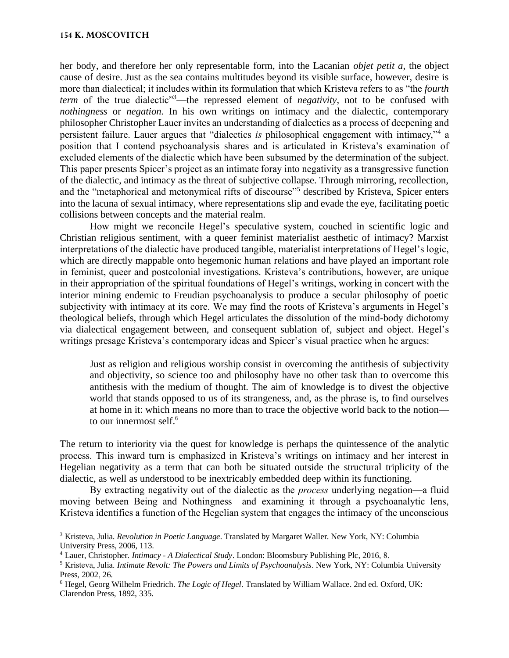#### **154 K. MOSCOVITCH**

her body, and therefore her only representable form, into the Lacanian *objet petit a*, the object cause of desire. Just as the sea contains multitudes beyond its visible surface, however, desire is more than dialectical; it includes within its formulation that which Kristeva refers to as "the *fourth term* of the true dialectic<sup>33</sup>—the repressed element of *negativity*, not to be confused with *nothingness* or *negation*. In his own writings on intimacy and the dialectic, contemporary philosopher Christopher Lauer invites an understanding of dialectics as a process of deepening and persistent failure. Lauer argues that "dialectics *is* philosophical engagement with intimacy,"<sup>4</sup> a position that I contend psychoanalysis shares and is articulated in Kristeva's examination of excluded elements of the dialectic which have been subsumed by the determination of the subject. This paper presents Spicer's project as an intimate foray into negativity as a transgressive function of the dialectic, and intimacy as the threat of subjective collapse. Through mirroring, recollection, and the "metaphorical and metonymical rifts of discourse"<sup>5</sup> described by Kristeva, Spicer enters into the lacuna of sexual intimacy, where representations slip and evade the eye, facilitating poetic collisions between concepts and the material realm.

How might we reconcile Hegel's speculative system, couched in scientific logic and Christian religious sentiment, with a queer feminist materialist aesthetic of intimacy? Marxist interpretations of the dialectic have produced tangible, materialist interpretations of Hegel's logic, which are directly mappable onto hegemonic human relations and have played an important role in feminist, queer and postcolonial investigations. Kristeva's contributions, however, are unique in their appropriation of the spiritual foundations of Hegel's writings, working in concert with the interior mining endemic to Freudian psychoanalysis to produce a secular philosophy of poetic subjectivity with intimacy at its core. We may find the roots of Kristeva's arguments in Hegel's theological beliefs, through which Hegel articulates the dissolution of the mind-body dichotomy via dialectical engagement between, and consequent sublation of, subject and object. Hegel's writings presage Kristeva's contemporary ideas and Spicer's visual practice when he argues:

Just as religion and religious worship consist in overcoming the antithesis of subjectivity and objectivity, so science too and philosophy have no other task than to overcome this antithesis with the medium of thought. The aim of knowledge is to divest the objective world that stands opposed to us of its strangeness, and, as the phrase is, to find ourselves at home in it: which means no more than to trace the objective world back to the notion to our innermost self.<sup>6</sup>

The return to interiority via the quest for knowledge is perhaps the quintessence of the analytic process. This inward turn is emphasized in Kristeva's writings on intimacy and her interest in Hegelian negativity as a term that can both be situated outside the structural triplicity of the dialectic, as well as understood to be inextricably embedded deep within its functioning.

By extracting negativity out of the dialectic as the *process* underlying negation—a fluid moving between Being and Nothingness—and examining it through a psychoanalytic lens, Kristeva identifies a function of the Hegelian system that engages the intimacy of the unconscious

<sup>3</sup> Kristeva, Julia. *Revolution in Poetic Language*. Translated by Margaret Waller. New York, NY: Columbia University Press, 2006, 113.

<sup>4</sup> Lauer, Christopher. *Intimacy - A Dialectical Study*. London: Bloomsbury Publishing Plc, 2016, 8.

<sup>5</sup> Kristeva, Julia. *Intimate Revolt: The Powers and Limits of Psychoanalysis*. New York, NY: Columbia University Press, 2002, 26.

<sup>6</sup> Hegel, Georg Wilhelm Friedrich. *The Logic of Hegel*. Translated by William Wallace. 2nd ed. Oxford, UK: Clarendon Press, 1892, 335.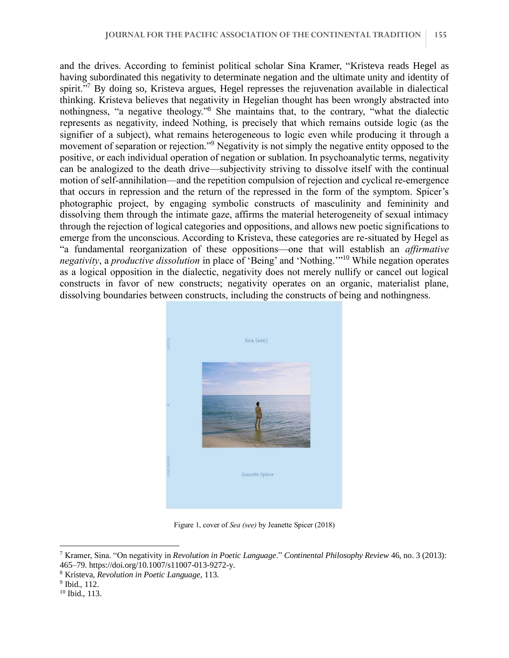and the drives. According to feminist political scholar Sina Kramer, "Kristeva reads Hegel as having subordinated this negativity to determinate negation and the ultimate unity and identity of spirit."<sup>7</sup> By doing so, Kristeva argues, Hegel represses the rejuvenation available in dialectical thinking. Kristeva believes that negativity in Hegelian thought has been wrongly abstracted into nothingness, "a negative theology."<sup>8</sup> She maintains that, to the contrary, "what the dialectic represents as negativity, indeed Nothing, is precisely that which remains outside logic (as the signifier of a subject), what remains heterogeneous to logic even while producing it through a movement of separation or rejection."<sup>9</sup> Negativity is not simply the negative entity opposed to the positive, or each individual operation of negation or sublation. In psychoanalytic terms, negativity can be analogized to the death drive—subjectivity striving to dissolve itself with the continual motion of self-annihilation—and the repetition compulsion of rejection and cyclical re-emergence that occurs in repression and the return of the repressed in the form of the symptom. Spicer's photographic project, by engaging symbolic constructs of masculinity and femininity and dissolving them through the intimate gaze, affirms the material heterogeneity of sexual intimacy through the rejection of logical categories and oppositions, and allows new poetic significations to emerge from the unconscious. According to Kristeva, these categories are re-situated by Hegel as "a fundamental reorganization of these oppositions—one that will establish an *affirmative negativity*, a *productive dissolution* in place of 'Being' and 'Nothing.'"<sup>10</sup> While negation operates as a logical opposition in the dialectic, negativity does not merely nullify or cancel out logical constructs in favor of new constructs; negativity operates on an organic, materialist plane, dissolving boundaries between constructs, including the constructs of being and nothingness.



Figure 1, cover of *Sea (see)* by Jeanette Spicer (2018)

<sup>7</sup> Kramer, Sina. "On negativity in *Revolution in Poetic Language*." *Continental Philosophy Review* 46, no. 3 (2013): 465–79. https://doi.org/10.1007/s11007-013-9272-y.

<sup>8</sup> Kristeva, *Revolution in Poetic Language*, 113.

<sup>9</sup> Ibid., 112.

<sup>10</sup> Ibid., 113.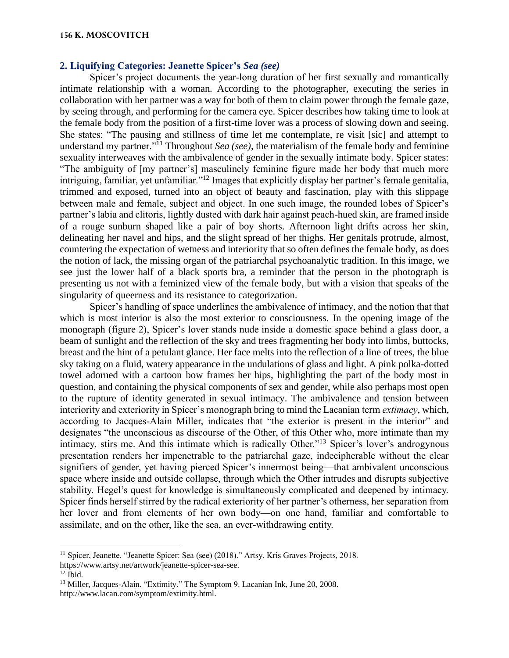# **2. Liquifying Categories: Jeanette Spicer's** *Sea (see)*

Spicer's project documents the year-long duration of her first sexually and romantically intimate relationship with a woman. According to the photographer, executing the series in collaboration with her partner was a way for both of them to claim power through the female gaze, by seeing through, and performing for the camera eye. Spicer describes how taking time to look at the female body from the position of a first-time lover was a process of slowing down and seeing. She states: "The pausing and stillness of time let me contemplate, re visit [sic] and attempt to understand my partner."<sup>11</sup> Throughout *Sea (see)*, the materialism of the female body and feminine sexuality interweaves with the ambivalence of gender in the sexually intimate body. Spicer states: "The ambiguity of [my partner's] masculinely feminine figure made her body that much more intriguing, familiar, yet unfamiliar."<sup>12</sup> Images that explicitly display her partner's female genitalia, trimmed and exposed, turned into an object of beauty and fascination, play with this slippage between male and female, subject and object. In one such image, the rounded lobes of Spicer's partner's labia and clitoris, lightly dusted with dark hair against peach-hued skin, are framed inside of a rouge sunburn shaped like a pair of boy shorts. Afternoon light drifts across her skin, delineating her navel and hips, and the slight spread of her thighs. Her genitals protrude, almost, countering the expectation of wetness and interiority that so often defines the female body, as does the notion of lack, the missing organ of the patriarchal psychoanalytic tradition. In this image, we see just the lower half of a black sports bra, a reminder that the person in the photograph is presenting us not with a feminized view of the female body, but with a vision that speaks of the singularity of queerness and its resistance to categorization.

Spicer's handling of space underlines the ambivalence of intimacy, and the notion that that which is most interior is also the most exterior to consciousness. In the opening image of the monograph (figure 2), Spicer's lover stands nude inside a domestic space behind a glass door, a beam of sunlight and the reflection of the sky and trees fragmenting her body into limbs, buttocks, breast and the hint of a petulant glance. Her face melts into the reflection of a line of trees, the blue sky taking on a fluid, watery appearance in the undulations of glass and light. A pink polka-dotted towel adorned with a cartoon bow frames her hips, highlighting the part of the body most in question, and containing the physical components of sex and gender, while also perhaps most open to the rupture of identity generated in sexual intimacy. The ambivalence and tension between interiority and exteriority in Spicer's monograph bring to mind the Lacanian term *extimacy*, which, according to Jacques-Alain Miller, indicates that "the exterior is present in the interior" and designates "the unconscious as discourse of the Other, of this Other who, more intimate than my intimacy, stirs me. And this intimate which is radically Other."<sup>13</sup> Spicer's lover's androgynous presentation renders her impenetrable to the patriarchal gaze, indecipherable without the clear signifiers of gender, yet having pierced Spicer's innermost being—that ambivalent unconscious space where inside and outside collapse, through which the Other intrudes and disrupts subjective stability. Hegel's quest for knowledge is simultaneously complicated and deepened by intimacy. Spicer finds herself stirred by the radical exteriority of her partner's otherness, her separation from her lover and from elements of her own body—on one hand, familiar and comfortable to assimilate, and on the other, like the sea, an ever-withdrawing entity.

<sup>&</sup>lt;sup>11</sup> Spicer, Jeanette. "Jeanette Spicer: Sea (see) (2018)." Artsy. Kris Graves Projects, 2018. https://www.artsy.net/artwork/jeanette-spicer-sea-see.

 $12$  Ibid.

<sup>&</sup>lt;sup>13</sup> Miller, Jacques-Alain. "Extimity." The Symptom 9. Lacanian Ink, June 20, 2008. http://www.lacan.com/symptom/extimity.html.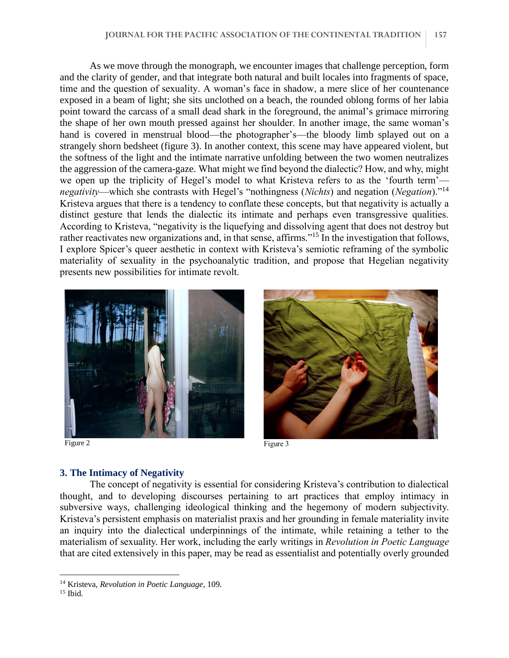As we move through the monograph, we encounter images that challenge perception, form and the clarity of gender, and that integrate both natural and built locales into fragments of space, time and the question of sexuality. A woman's face in shadow, a mere slice of her countenance exposed in a beam of light; she sits unclothed on a beach, the rounded oblong forms of her labia point toward the carcass of a small dead shark in the foreground, the animal's grimace mirroring the shape of her own mouth pressed against her shoulder. In another image, the same woman's hand is covered in menstrual blood—the photographer's—the bloody limb splayed out on a strangely shorn bedsheet (figure 3). In another context, this scene may have appeared violent, but the softness of the light and the intimate narrative unfolding between the two women neutralizes the aggression of the camera-gaze. What might we find beyond the dialectic? How, and why, might we open up the triplicity of Hegel's model to what Kristeva refers to as the 'fourth term' *negativity*—which she contrasts with Hegel's "nothingness (*Nichts*) and negation (*Negation*)."<sup>14</sup> Kristeva argues that there is a tendency to conflate these concepts, but that negativity is actually a distinct gesture that lends the dialectic its intimate and perhaps even transgressive qualities. According to Kristeva, "negativity is the liquefying and dissolving agent that does not destroy but rather reactivates new organizations and, in that sense, affirms."<sup>15</sup> In the investigation that follows, I explore Spicer's queer aesthetic in context with Kristeva's semiotic reframing of the symbolic materiality of sexuality in the psychoanalytic tradition, and propose that Hegelian negativity presents new possibilities for intimate revolt.



Figure 2 Figure 3



## **3. The Intimacy of Negativity**

The concept of negativity is essential for considering Kristeva's contribution to dialectical thought, and to developing discourses pertaining to art practices that employ intimacy in subversive ways, challenging ideological thinking and the hegemony of modern subjectivity. Kristeva's persistent emphasis on materialist praxis and her grounding in female materiality invite an inquiry into the dialectical underpinnings of the intimate, while retaining a tether to the materialism of sexuality. Her work, including the early writings in *Revolution in Poetic Language* that are cited extensively in this paper, may be read as essentialist and potentially overly grounded

<sup>14</sup> Kristeva, *Revolution in Poetic Language*, 109.

<sup>&</sup>lt;sup>15</sup> Ibid.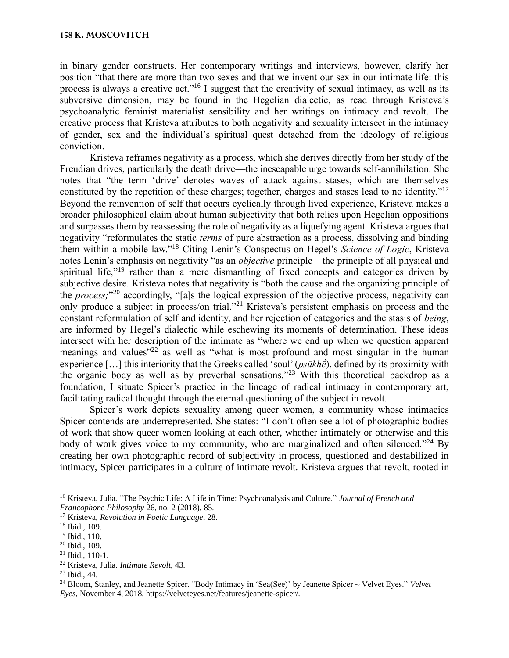in binary gender constructs. Her contemporary writings and interviews, however, clarify her position "that there are more than two sexes and that we invent our sex in our intimate life: this process is always a creative act."<sup>16</sup> I suggest that the creativity of sexual intimacy, as well as its subversive dimension, may be found in the Hegelian dialectic, as read through Kristeva's psychoanalytic feminist materialist sensibility and her writings on intimacy and revolt. The creative process that Kristeva attributes to both negativity and sexuality intersect in the intimacy of gender, sex and the individual's spiritual quest detached from the ideology of religious conviction.

Kristeva reframes negativity as a process, which she derives directly from her study of the Freudian drives, particularly the death drive—the inescapable urge towards self-annihilation. She notes that "the term 'drive' denotes waves of attack against stases, which are themselves constituted by the repetition of these charges; together, charges and stases lead to no identity."<sup>17</sup> Beyond the reinvention of self that occurs cyclically through lived experience, Kristeva makes a broader philosophical claim about human subjectivity that both relies upon Hegelian oppositions and surpasses them by reassessing the role of negativity as a liquefying agent. Kristeva argues that negativity "reformulates the static *terms* of pure abstraction as a process, dissolving and binding them within a mobile law."<sup>18</sup> Citing Lenin's Conspectus on Hegel's *Science of Logic*, Kristeva notes Lenin's emphasis on negativity "as an *objective* principle—the principle of all physical and spiritual life,"<sup>19</sup> rather than a mere dismantling of fixed concepts and categories driven by subjective desire. Kristeva notes that negativity is "both the cause and the organizing principle of the *process;*" <sup>20</sup> accordingly, "[a]s the logical expression of the objective process, negativity can only produce a subject in process/on trial."<sup>21</sup> Kristeva's persistent emphasis on process and the constant reformulation of self and identity, and her rejection of categories and the stasis of *being*, are informed by Hegel's dialectic while eschewing its moments of determination. These ideas intersect with her description of the intimate as "where we end up when we question apparent meanings and values<sup>"22</sup> as well as "what is most profound and most singular in the human experience […] this interiority that the Greeks called 'soul' (*psūkhḗ*), defined by its proximity with the organic body as well as by preverbal sensations."<sup>23</sup> With this theoretical backdrop as a foundation, I situate Spicer's practice in the lineage of radical intimacy in contemporary art, facilitating radical thought through the eternal questioning of the subject in revolt.

Spicer's work depicts sexuality among queer women, a community whose intimacies Spicer contends are underrepresented. She states: "I don't often see a lot of photographic bodies of work that show queer women looking at each other, whether intimately or otherwise and this body of work gives voice to my community, who are marginalized and often silenced."<sup>24</sup> By creating her own photographic record of subjectivity in process, questioned and destabilized in intimacy, Spicer participates in a culture of intimate revolt. Kristeva argues that revolt, rooted in

<sup>16</sup> Kristeva, Julia. "The Psychic Life: A Life in Time: Psychoanalysis and Culture." *Journal of French and Francophone Philosophy* 26, no. 2 (2018), 85.

<sup>17</sup> Kristeva, *Revolution in Poetic Language*, 28.

<sup>18</sup> Ibid., 109.

<sup>19</sup> Ibid., 110.

<sup>20</sup> Ibid., 109.

 $21$  Ibid., 110-1.

<sup>22</sup> Kristeva, Julia. *Intimate Revolt*, 43.

<sup>23</sup> Ibid., 44.

<sup>24</sup> Bloom, Stanley, and Jeanette Spicer. "Body Intimacy in 'Sea(See)' by Jeanette Spicer ~ Velvet Eyes." *Velvet Eyes*, November 4, 2018. https://velveteyes.net/features/jeanette-spicer/.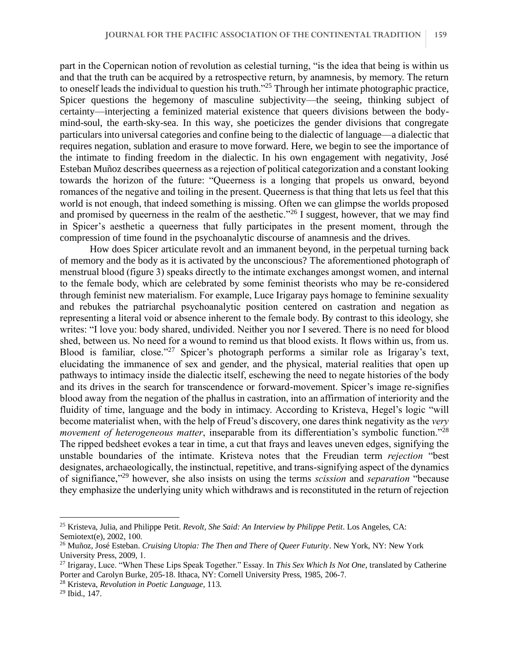part in the Copernican notion of revolution as celestial turning, "is the idea that being is within us and that the truth can be acquired by a retrospective return, by anamnesis, by memory. The return to oneself leads the individual to question his truth."<sup>25</sup> Through her intimate photographic practice, Spicer questions the hegemony of masculine subjectivity—the seeing, thinking subject of certainty—interjecting a feminized material existence that queers divisions between the bodymind-soul, the earth-sky-sea. In this way, she poeticizes the gender divisions that congregate particulars into universal categories and confine being to the dialectic of language—a dialectic that requires negation, sublation and erasure to move forward. Here, we begin to see the importance of the intimate to finding freedom in the dialectic. In his own engagement with negativity, José Esteban Muñoz describes queerness as a rejection of political categorization and a constant looking towards the horizon of the future: "Queerness is a longing that propels us onward, beyond romances of the negative and toiling in the present. Queerness is that thing that lets us feel that this world is not enough, that indeed something is missing. Often we can glimpse the worlds proposed and promised by queerness in the realm of the aesthetic."<sup>26</sup> I suggest, however, that we may find in Spicer's aesthetic a queerness that fully participates in the present moment, through the compression of time found in the psychoanalytic discourse of anamnesis and the drives.

How does Spicer articulate revolt and an immanent beyond, in the perpetual turning back of memory and the body as it is activated by the unconscious? The aforementioned photograph of menstrual blood (figure 3) speaks directly to the intimate exchanges amongst women, and internal to the female body, which are celebrated by some feminist theorists who may be re-considered through feminist new materialism. For example, Luce Irigaray pays homage to feminine sexuality and rebukes the patriarchal psychoanalytic position centered on castration and negation as representing a literal void or absence inherent to the female body. By contrast to this ideology, she writes: "I love you: body shared, undivided. Neither you nor I severed. There is no need for blood shed, between us. No need for a wound to remind us that blood exists. It flows within us, from us. Blood is familiar, close."<sup>27</sup> Spicer's photograph performs a similar role as Irigaray's text, elucidating the immanence of sex and gender, and the physical, material realities that open up pathways to intimacy inside the dialectic itself, eschewing the need to negate histories of the body and its drives in the search for transcendence or forward-movement. Spicer's image re-signifies blood away from the negation of the phallus in castration, into an affirmation of interiority and the fluidity of time, language and the body in intimacy. According to Kristeva, Hegel's logic "will become materialist when, with the help of Freud's discovery, one dares think negativity as the *very movement of heterogeneous matter*, inseparable from its differentiation's symbolic function."<sup>28</sup> The ripped bedsheet evokes a tear in time, a cut that frays and leaves uneven edges, signifying the unstable boundaries of the intimate. Kristeva notes that the Freudian term *rejection* "best designates, archaeologically, the instinctual, repetitive, and trans-signifying aspect of the dynamics of signifiance,"<sup>29</sup> however, she also insists on using the terms *scission* and *separation* "because they emphasize the underlying unity which withdraws and is reconstituted in the return of rejection

<sup>25</sup> Kristeva, Julia, and Philippe Petit. *Revolt, She Said: An Interview by Philippe Petit*. Los Angeles, CA: Semiotext(e), 2002, 100.

<sup>26</sup> Muñoz, José Esteban. *Cruising Utopia: The Then and There of Queer Futurity*. New York, NY: New York University Press, 2009, 1.

<sup>27</sup> Irigaray, Luce. "When These Lips Speak Together." Essay. In *This Sex Which Is Not One*, translated by Catherine Porter and Carolyn Burke, 205-18. Ithaca, NY: Cornell University Press, 1985, 206-7.

<sup>28</sup> Kristeva, *Revolution in Poetic Language*, 113.

<sup>29</sup> Ibid., 147.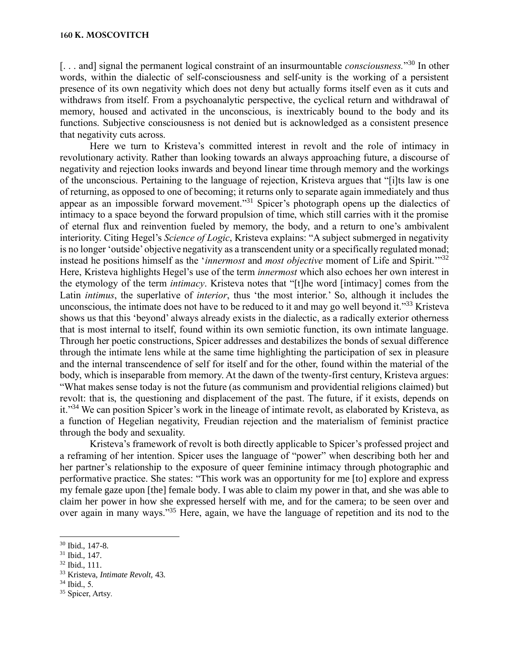[... and] signal the permanent logical constraint of an insurmountable *consciousness*."<sup>30</sup> In other words, within the dialectic of self-consciousness and self-unity is the working of a persistent presence of its own negativity which does not deny but actually forms itself even as it cuts and withdraws from itself. From a psychoanalytic perspective, the cyclical return and withdrawal of memory, housed and activated in the unconscious, is inextricably bound to the body and its functions. Subjective consciousness is not denied but is acknowledged as a consistent presence that negativity cuts across.

Here we turn to Kristeva's committed interest in revolt and the role of intimacy in revolutionary activity. Rather than looking towards an always approaching future, a discourse of negativity and rejection looks inwards and beyond linear time through memory and the workings of the unconscious. Pertaining to the language of rejection, Kristeva argues that "[i]ts law is one of returning, as opposed to one of becoming; it returns only to separate again immediately and thus appear as an impossible forward movement."<sup>31</sup> Spicer's photograph opens up the dialectics of intimacy to a space beyond the forward propulsion of time, which still carries with it the promise of eternal flux and reinvention fueled by memory, the body, and a return to one's ambivalent interiority. Citing Hegel's *Science of Logic*, Kristeva explains: "A subject submerged in negativity is no longer 'outside' objective negativity as a transcendent unity or a specifically regulated monad; instead he positions himself as the '*innermost* and *most objective* moment of Life and Spirit.'"<sup>32</sup> Here, Kristeva highlights Hegel's use of the term *innermost* which also echoes her own interest in the etymology of the term *intimacy*. Kristeva notes that "[t]he word [intimacy] comes from the Latin *intimus*, the superlative of *interior*, thus 'the most interior.' So, although it includes the unconscious, the intimate does not have to be reduced to it and may go well beyond it."<sup>33</sup> Kristeva shows us that this 'beyond' always already exists in the dialectic, as a radically exterior otherness that is most internal to itself, found within its own semiotic function, its own intimate language. Through her poetic constructions, Spicer addresses and destabilizes the bonds of sexual difference through the intimate lens while at the same time highlighting the participation of sex in pleasure and the internal transcendence of self for itself and for the other, found within the material of the body, which is inseparable from memory. At the dawn of the twenty-first century, Kristeva argues: "What makes sense today is not the future (as communism and providential religions claimed) but revolt: that is, the questioning and displacement of the past. The future, if it exists, depends on it."<sup>34</sup> We can position Spicer's work in the lineage of intimate revolt, as elaborated by Kristeva, as a function of Hegelian negativity, Freudian rejection and the materialism of feminist practice through the body and sexuality.

Kristeva's framework of revolt is both directly applicable to Spicer's professed project and a reframing of her intention. Spicer uses the language of "power" when describing both her and her partner's relationship to the exposure of queer feminine intimacy through photographic and performative practice. She states: "This work was an opportunity for me [to] explore and express my female gaze upon [the] female body. I was able to claim my power in that, and she was able to claim her power in how she expressed herself with me, and for the camera; to be seen over and over again in many ways."<sup>35</sup> Here, again, we have the language of repetition and its nod to the

<sup>30</sup> Ibid., 147-8.

<sup>31</sup> Ibid.*,* 147.

<sup>32</sup> Ibid., 111.

<sup>33</sup> Kristeva, *Intimate Revolt,* 43.

 $34$  Ibid., 5.

<sup>35</sup> Spicer, Artsy*.*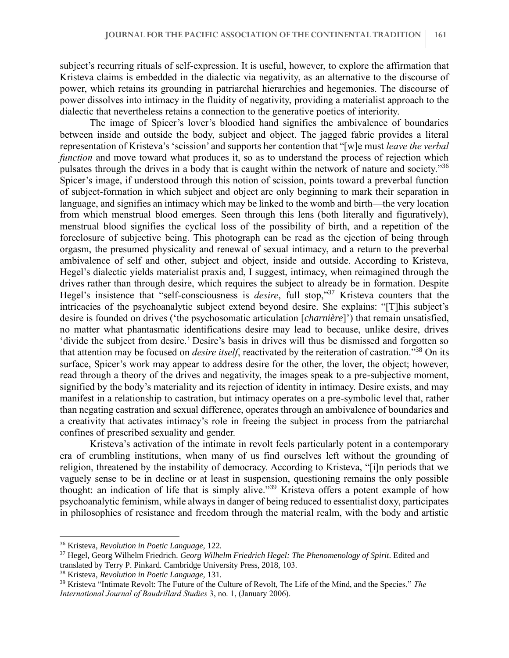subject's recurring rituals of self-expression. It is useful, however, to explore the affirmation that Kristeva claims is embedded in the dialectic via negativity, as an alternative to the discourse of power, which retains its grounding in patriarchal hierarchies and hegemonies. The discourse of power dissolves into intimacy in the fluidity of negativity, providing a materialist approach to the dialectic that nevertheless retains a connection to the generative poetics of interiority.

The image of Spicer's lover's bloodied hand signifies the ambivalence of boundaries between inside and outside the body, subject and object. The jagged fabric provides a literal representation of Kristeva's 'scission' and supports her contention that "[w]e must *leave the verbal function* and move toward what produces it, so as to understand the process of rejection which pulsates through the drives in a body that is caught within the network of nature and society."<sup>36</sup> Spicer's image, if understood through this notion of scission, points toward a preverbal function of subject-formation in which subject and object are only beginning to mark their separation in language, and signifies an intimacy which may be linked to the womb and birth—the very location from which menstrual blood emerges. Seen through this lens (both literally and figuratively), menstrual blood signifies the cyclical loss of the possibility of birth, and a repetition of the foreclosure of subjective being. This photograph can be read as the ejection of being through orgasm, the presumed physicality and renewal of sexual intimacy, and a return to the preverbal ambivalence of self and other, subject and object, inside and outside. According to Kristeva, Hegel's dialectic yields materialist praxis and, I suggest, intimacy, when reimagined through the drives rather than through desire, which requires the subject to already be in formation. Despite Hegel's insistence that "self-consciousness is *desire*, full stop,"<sup>37</sup> Kristeva counters that the intricacies of the psychoanalytic subject extend beyond desire. She explains: "[T]his subject's desire is founded on drives ('the psychosomatic articulation [*charnière*]') that remain unsatisfied, no matter what phantasmatic identifications desire may lead to because, unlike desire, drives 'divide the subject from desire.' Desire's basis in drives will thus be dismissed and forgotten so that attention may be focused on *desire itself*, reactivated by the reiteration of castration."<sup>38</sup> On its surface, Spicer's work may appear to address desire for the other, the lover, the object; however, read through a theory of the drives and negativity, the images speak to a pre-subjective moment, signified by the body's materiality and its rejection of identity in intimacy. Desire exists, and may manifest in a relationship to castration, but intimacy operates on a pre-symbolic level that, rather than negating castration and sexual difference, operates through an ambivalence of boundaries and a creativity that activates intimacy's role in freeing the subject in process from the patriarchal confines of prescribed sexuality and gender.

Kristeva's activation of the intimate in revolt feels particularly potent in a contemporary era of crumbling institutions, when many of us find ourselves left without the grounding of religion, threatened by the instability of democracy. According to Kristeva, "[i]n periods that we vaguely sense to be in decline or at least in suspension, questioning remains the only possible thought: an indication of life that is simply alive."<sup>39</sup> Kristeva offers a potent example of how psychoanalytic feminism, while always in danger of being reduced to essentialist doxy, participates in philosophies of resistance and freedom through the material realm, with the body and artistic

<sup>36</sup> Kristeva, *Revolution in Poetic Language*, 122.

<sup>37</sup> Hegel, Georg Wilhelm Friedrich. *Georg Wilhelm Friedrich Hegel: The Phenomenology of Spirit*. Edited and translated by Terry P. Pinkard. Cambridge University Press, 2018, 103.

<sup>38</sup> Kristeva, *Revolution in Poetic Language*, 131.

<sup>39</sup> Kristeva "Intimate Revolt: The Future of the Culture of Revolt, The Life of the Mind, and the Species." *The International Journal of Baudrillard Studies* 3, no. 1, (January 2006).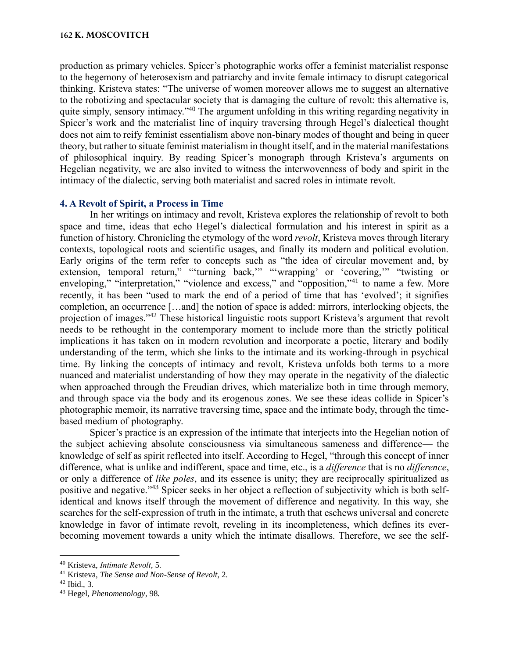production as primary vehicles. Spicer's photographic works offer a feminist materialist response to the hegemony of heterosexism and patriarchy and invite female intimacy to disrupt categorical thinking. Kristeva states: "The universe of women moreover allows me to suggest an alternative to the robotizing and spectacular society that is damaging the culture of revolt: this alternative is, quite simply, sensory intimacy."<sup>40</sup> The argument unfolding in this writing regarding negativity in Spicer's work and the materialist line of inquiry traversing through Hegel's dialectical thought does not aim to reify feminist essentialism above non-binary modes of thought and being in queer theory, but rather to situate feminist materialism in thought itself, and in the material manifestations of philosophical inquiry. By reading Spicer's monograph through Kristeva's arguments on Hegelian negativity, we are also invited to witness the interwovenness of body and spirit in the intimacy of the dialectic, serving both materialist and sacred roles in intimate revolt.

## **4. A Revolt of Spirit, a Process in Time**

In her writings on intimacy and revolt, Kristeva explores the relationship of revolt to both space and time, ideas that echo Hegel's dialectical formulation and his interest in spirit as a function of history. Chronicling the etymology of the word *revolt*, Kristeva moves through literary contexts, topological roots and scientific usages, and finally its modern and political evolution. Early origins of the term refer to concepts such as "the idea of circular movement and, by extension, temporal return," "'turning back,"" "'wrapping' or 'covering,"" "twisting or enveloping," "interpretation," "violence and excess," and "opposition,"<sup>41</sup> to name a few. More recently, it has been "used to mark the end of a period of time that has 'evolved'; it signifies completion, an occurrence […and] the notion of space is added: mirrors, interlocking objects, the projection of images."<sup>42</sup> These historical linguistic roots support Kristeva's argument that revolt needs to be rethought in the contemporary moment to include more than the strictly political implications it has taken on in modern revolution and incorporate a poetic, literary and bodily understanding of the term, which she links to the intimate and its working-through in psychical time. By linking the concepts of intimacy and revolt, Kristeva unfolds both terms to a more nuanced and materialist understanding of how they may operate in the negativity of the dialectic when approached through the Freudian drives, which materialize both in time through memory, and through space via the body and its erogenous zones. We see these ideas collide in Spicer's photographic memoir, its narrative traversing time, space and the intimate body, through the timebased medium of photography.

Spicer's practice is an expression of the intimate that interjects into the Hegelian notion of the subject achieving absolute consciousness via simultaneous sameness and difference— the knowledge of self as spirit reflected into itself. According to Hegel, "through this concept of inner difference, what is unlike and indifferent, space and time, etc., is a *difference* that is no *difference*, or only a difference of *like poles*, and its essence is unity; they are reciprocally spiritualized as positive and negative."<sup>43</sup> Spicer seeks in her object a reflection of subjectivity which is both selfidentical and knows itself through the movement of difference and negativity. In this way, she searches for the self-expression of truth in the intimate, a truth that eschews universal and concrete knowledge in favor of intimate revolt, reveling in its incompleteness, which defines its everbecoming movement towards a unity which the intimate disallows. Therefore, we see the self-

<sup>40</sup> Kristeva, *Intimate Revolt*, 5.

<sup>41</sup> Kristeva, *The Sense and Non-Sense of Revolt*, 2.

 $42$  Ibid., 3.

<sup>43</sup> Hegel, *Phenomenology*, 98.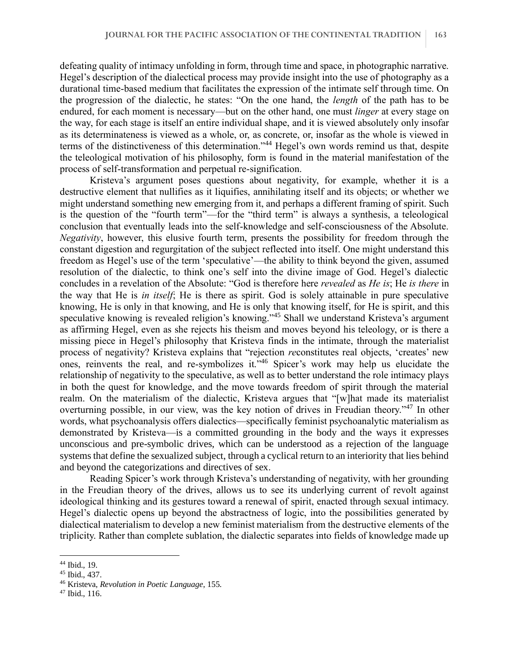defeating quality of intimacy unfolding in form, through time and space, in photographic narrative. Hegel's description of the dialectical process may provide insight into the use of photography as a durational time-based medium that facilitates the expression of the intimate self through time. On the progression of the dialectic, he states: "On the one hand, the *length* of the path has to be endured, for each moment is necessary—but on the other hand, one must *linger* at every stage on the way, for each stage is itself an entire individual shape, and it is viewed absolutely only insofar as its determinateness is viewed as a whole, or, as concrete, or, insofar as the whole is viewed in terms of the distinctiveness of this determination."<sup>44</sup> Hegel's own words remind us that, despite the teleological motivation of his philosophy, form is found in the material manifestation of the process of self-transformation and perpetual re-signification.

Kristeva's argument poses questions about negativity, for example, whether it is a destructive element that nullifies as it liquifies, annihilating itself and its objects; or whether we might understand something new emerging from it, and perhaps a different framing of spirit. Such is the question of the "fourth term"—for the "third term" is always a synthesis, a teleological conclusion that eventually leads into the self-knowledge and self-consciousness of the Absolute. *Negativity*, however, this elusive fourth term, presents the possibility for freedom through the constant digestion and regurgitation of the subject reflected into itself. One might understand this freedom as Hegel's use of the term 'speculative'—the ability to think beyond the given, assumed resolution of the dialectic, to think one's self into the divine image of God. Hegel's dialectic concludes in a revelation of the Absolute: "God is therefore here *revealed* as *He is*; He *is there* in the way that He is *in itself*; He is there as spirit. God is solely attainable in pure speculative knowing, He is only in that knowing, and He is only that knowing itself, for He is spirit, and this speculative knowing is revealed religion's knowing."<sup>45</sup> Shall we understand Kristeva's argument as affirming Hegel, even as she rejects his theism and moves beyond his teleology, or is there a missing piece in Hegel's philosophy that Kristeva finds in the intimate, through the materialist process of negativity? Kristeva explains that "rejection *re*constitutes real objects, 'creates' new ones, reinvents the real, and re-symbolizes it."<sup>46</sup> Spicer's work may help us elucidate the relationship of negativity to the speculative, as well as to better understand the role intimacy plays in both the quest for knowledge, and the move towards freedom of spirit through the material realm. On the materialism of the dialectic, Kristeva argues that "[w]hat made its materialist overturning possible, in our view, was the key notion of drives in Freudian theory."<sup>47</sup> In other words, what psychoanalysis offers dialectics—specifically feminist psychoanalytic materialism as demonstrated by Kristeva—is a committed grounding in the body and the ways it expresses unconscious and pre-symbolic drives, which can be understood as a rejection of the language systems that define the sexualized subject, through a cyclical return to an interiority that lies behind and beyond the categorizations and directives of sex.

Reading Spicer's work through Kristeva's understanding of negativity, with her grounding in the Freudian theory of the drives, allows us to see its underlying current of revolt against ideological thinking and its gestures toward a renewal of spirit, enacted through sexual intimacy. Hegel's dialectic opens up beyond the abstractness of logic, into the possibilities generated by dialectical materialism to develop a new feminist materialism from the destructive elements of the triplicity. Rather than complete sublation, the dialectic separates into fields of knowledge made up

<sup>44</sup> Ibid., 19.

<sup>45</sup> Ibid., 437.

<sup>46</sup> Kristeva, *Revolution in Poetic Language*, 155.

<sup>47</sup> Ibid., 116.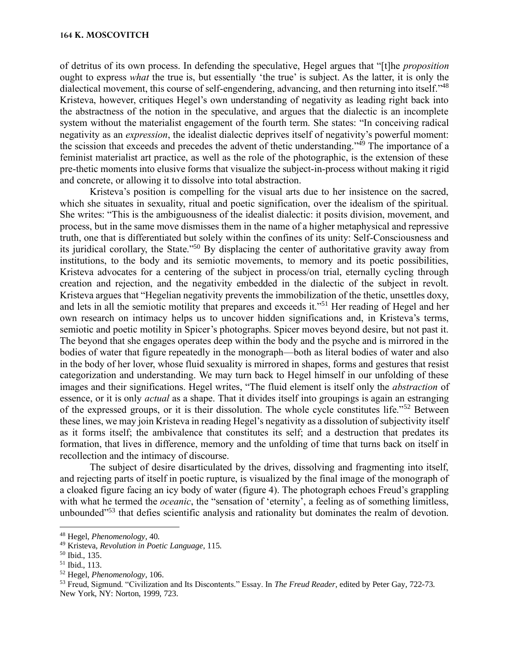of detritus of its own process. In defending the speculative, Hegel argues that "[t]he *proposition* ought to express *what* the true is, but essentially 'the true' is subject. As the latter, it is only the dialectical movement, this course of self-engendering, advancing, and then returning into itself."<sup>48</sup> Kristeva, however, critiques Hegel's own understanding of negativity as leading right back into the abstractness of the notion in the speculative, and argues that the dialectic is an incomplete system without the materialist engagement of the fourth term. She states: "In conceiving radical negativity as an *expression*, the idealist dialectic deprives itself of negativity's powerful moment: the scission that exceeds and precedes the advent of thetic understanding."<sup>49</sup> The importance of a feminist materialist art practice, as well as the role of the photographic, is the extension of these pre-thetic moments into elusive forms that visualize the subject-in-process without making it rigid and concrete, or allowing it to dissolve into total abstraction.

Kristeva's position is compelling for the visual arts due to her insistence on the sacred, which she situates in sexuality, ritual and poetic signification, over the idealism of the spiritual. She writes: "This is the ambiguousness of the idealist dialectic: it posits division, movement, and process, but in the same move dismisses them in the name of a higher metaphysical and repressive truth, one that is differentiated but solely within the confines of its unity: Self-Consciousness and its juridical corollary, the State."<sup>50</sup> By displacing the center of authoritative gravity away from institutions, to the body and its semiotic movements, to memory and its poetic possibilities, Kristeva advocates for a centering of the subject in process/on trial, eternally cycling through creation and rejection, and the negativity embedded in the dialectic of the subject in revolt. Kristeva argues that "Hegelian negativity prevents the immobilization of the thetic, unsettles doxy, and lets in all the semiotic motility that prepares and exceeds it."<sup>51</sup> Her reading of Hegel and her own research on intimacy helps us to uncover hidden significations and, in Kristeva's terms, semiotic and poetic motility in Spicer's photographs. Spicer moves beyond desire, but not past it. The beyond that she engages operates deep within the body and the psyche and is mirrored in the bodies of water that figure repeatedly in the monograph—both as literal bodies of water and also in the body of her lover, whose fluid sexuality is mirrored in shapes, forms and gestures that resist categorization and understanding. We may turn back to Hegel himself in our unfolding of these images and their significations. Hegel writes, "The fluid element is itself only the *abstraction* of essence, or it is only *actual* as a shape. That it divides itself into groupings is again an estranging of the expressed groups, or it is their dissolution. The whole cycle constitutes life."<sup>52</sup> Between these lines, we may join Kristeva in reading Hegel's negativity as a dissolution of subjectivity itself as it forms itself; the ambivalence that constitutes its self; and a destruction that predates its formation, that lives in difference, memory and the unfolding of time that turns back on itself in recollection and the intimacy of discourse.

The subject of desire disarticulated by the drives, dissolving and fragmenting into itself, and rejecting parts of itself in poetic rupture, is visualized by the final image of the monograph of a cloaked figure facing an icy body of water (figure 4). The photograph echoes Freud's grappling with what he termed the *oceanic*, the "sensation of 'eternity', a feeling as of something limitless, unbounded<sup>"53</sup> that defies scientific analysis and rationality but dominates the realm of devotion.

<sup>52</sup> Hegel, *Phenomenology*, 106.

<sup>48</sup> Hegel, *Phenomenology*, 40.

<sup>49</sup> Kristeva, *Revolution in Poetic Language*, 115.

<sup>50</sup> Ibid., 135.

<sup>51</sup> Ibid., 113.

<sup>53</sup> Freud, Sigmund. "Civilization and Its Discontents." Essay. In *The Freud Reader*, edited by Peter Gay, 722-73. New York, NY: Norton, 1999, 723.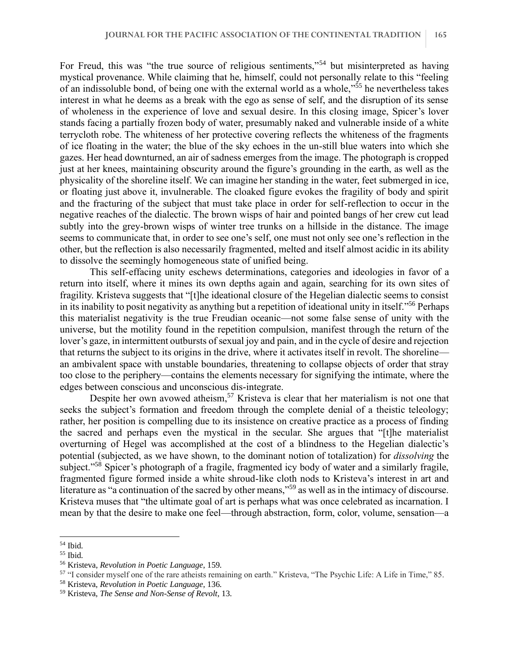For Freud, this was "the true source of religious sentiments,"<sup>54</sup> but misinterpreted as having mystical provenance. While claiming that he, himself, could not personally relate to this "feeling of an indissoluble bond, of being one with the external world as a whole,"<sup>55</sup> he nevertheless takes interest in what he deems as a break with the ego as sense of self, and the disruption of its sense of wholeness in the experience of love and sexual desire. In this closing image, Spicer's lover stands facing a partially frozen body of water, presumably naked and vulnerable inside of a white terrycloth robe. The whiteness of her protective covering reflects the whiteness of the fragments of ice floating in the water; the blue of the sky echoes in the un-still blue waters into which she gazes. Her head downturned, an air of sadness emerges from the image. The photograph is cropped just at her knees, maintaining obscurity around the figure's grounding in the earth, as well as the physicality of the shoreline itself. We can imagine her standing in the water, feet submerged in ice, or floating just above it, invulnerable. The cloaked figure evokes the fragility of body and spirit and the fracturing of the subject that must take place in order for self-reflection to occur in the negative reaches of the dialectic. The brown wisps of hair and pointed bangs of her crew cut lead subtly into the grey-brown wisps of winter tree trunks on a hillside in the distance. The image seems to communicate that, in order to see one's self, one must not only see one's reflection in the other, but the reflection is also necessarily fragmented, melted and itself almost acidic in its ability to dissolve the seemingly homogeneous state of unified being.

This self-effacing unity eschews determinations, categories and ideologies in favor of a return into itself, where it mines its own depths again and again, searching for its own sites of fragility. Kristeva suggests that "[t]he ideational closure of the Hegelian dialectic seems to consist in its inability to posit negativity as anything but a repetition of ideational unity in itself."<sup>56</sup> Perhaps this materialist negativity is the true Freudian oceanic—not some false sense of unity with the universe, but the motility found in the repetition compulsion, manifest through the return of the lover's gaze, in intermittent outbursts of sexual joy and pain, and in the cycle of desire and rejection that returns the subject to its origins in the drive, where it activates itself in revolt. The shoreline an ambivalent space with unstable boundaries, threatening to collapse objects of order that stray too close to the periphery—contains the elements necessary for signifying the intimate, where the edges between conscious and unconscious dis-integrate.

Despite her own avowed atheism,<sup>57</sup> Kristeva is clear that her materialism is not one that seeks the subject's formation and freedom through the complete denial of a theistic teleology; rather, her position is compelling due to its insistence on creative practice as a process of finding the sacred and perhaps even the mystical in the secular. She argues that "[t]he materialist overturning of Hegel was accomplished at the cost of a blindness to the Hegelian dialectic's potential (subjected, as we have shown, to the dominant notion of totalization) for *dissolving* the subject."<sup>58</sup> Spicer's photograph of a fragile, fragmented icy body of water and a similarly fragile, fragmented figure formed inside a white shroud-like cloth nods to Kristeva's interest in art and literature as "a continuation of the sacred by other means,"<sup>59</sup> as well as in the intimacy of discourse. Kristeva muses that "the ultimate goal of art is perhaps what was once celebrated as incarnation. I mean by that the desire to make one feel—through abstraction, form, color, volume, sensation—a

<sup>54</sup> Ibid.

<sup>55</sup> Ibid.

<sup>56</sup> Kristeva, *Revolution in Poetic Language*, 159.

<sup>57</sup> "I consider myself one of the rare atheists remaining on earth." Kristeva, "The Psychic Life: A Life in Time," 85.

<sup>58</sup> Kristeva, *Revolution in Poetic Language*, 136.

<sup>59</sup> Kristeva, *The Sense and Non-Sense of Revolt*, 13.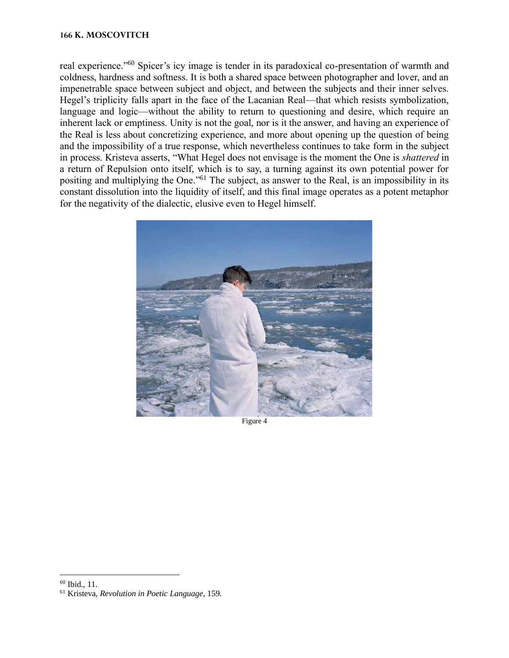#### **166 K. MOSCOVITCH**

real experience."<sup>60</sup> Spicer's icy image is tender in its paradoxical co-presentation of warmth and coldness, hardness and softness. It is both a shared space between photographer and lover, and an impenetrable space between subject and object, and between the subjects and their inner selves. Hegel's triplicity falls apart in the face of the Lacanian Real—that which resists symbolization, language and logic—without the ability to return to questioning and desire, which require an inherent lack or emptiness. Unity is not the goal, nor is it the answer, and having an experience of the Real is less about concretizing experience, and more about opening up the question of being and the impossibility of a true response, which nevertheless continues to take form in the subject in process. Kristeva asserts, "What Hegel does not envisage is the moment the One is *shattered* in a return of Repulsion onto itself, which is to say, a turning against its own potential power for positing and multiplying the One."<sup>61</sup> The subject, as answer to the Real, is an impossibility in its constant dissolution into the liquidity of itself, and this final image operates as a potent metaphor for the negativity of the dialectic, elusive even to Hegel himself.



Figure 4

<sup>60</sup> Ibid., 11.

<sup>61</sup> Kristeva, *Revolution in Poetic Language*, 159.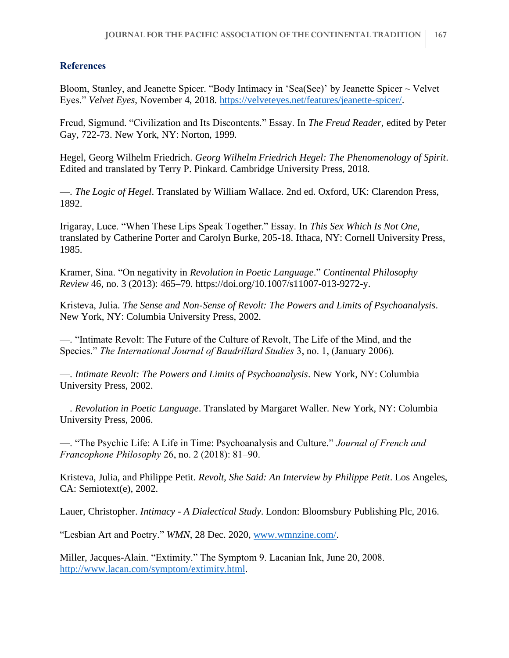## **References**

Bloom, Stanley, and Jeanette Spicer. "Body Intimacy in 'Sea(See)' by Jeanette Spicer  $\sim$  Velvet Eyes." *Velvet Eyes*, November 4, 2018. [https://velveteyes.net/features/jeanette-spicer/.](https://velveteyes.net/features/jeanette-spicer/)

Freud, Sigmund. "Civilization and Its Discontents." Essay. In *The Freud Reader*, edited by Peter Gay, 722-73. New York, NY: Norton, 1999.

Hegel, Georg Wilhelm Friedrich. *Georg Wilhelm Friedrich Hegel: The Phenomenology of Spirit*. Edited and translated by Terry P. Pinkard. Cambridge University Press, 2018.

—. *The Logic of Hegel*. Translated by William Wallace. 2nd ed. Oxford, UK: Clarendon Press, 1892.

Irigaray, Luce. "When These Lips Speak Together." Essay. In *This Sex Which Is Not One*, translated by Catherine Porter and Carolyn Burke, 205-18. Ithaca, NY: Cornell University Press, 1985.

Kramer, Sina. "On negativity in *Revolution in Poetic Language*." *Continental Philosophy Review* 46, no. 3 (2013): 465–79. https://doi.org/10.1007/s11007-013-9272-y.

Kristeva, Julia. *The Sense and Non-Sense of Revolt: The Powers and Limits of Psychoanalysis*. New York, NY: Columbia University Press, 2002.

—. "Intimate Revolt: The Future of the Culture of Revolt, The Life of the Mind, and the Species." *The International Journal of Baudrillard Studies* 3, no. 1, (January 2006).

—. *Intimate Revolt: The Powers and Limits of Psychoanalysis*. New York, NY: Columbia University Press, 2002.

—. *Revolution in Poetic Language*. Translated by Margaret Waller. New York, NY: Columbia University Press, 2006.

—. "The Psychic Life: A Life in Time: Psychoanalysis and Culture." *Journal of French and Francophone Philosophy* 26, no. 2 (2018): 81–90.

Kristeva, Julia, and Philippe Petit. *Revolt, She Said: An Interview by Philippe Petit*. Los Angeles, CA: Semiotext(e), 2002.

Lauer, Christopher. *Intimacy - A Dialectical Study*. London: Bloomsbury Publishing Plc, 2016.

"Lesbian Art and Poetry." *WMN*, 28 Dec. 2020, [www.wmnzine.com/.](http://www.wmnzine.com/)

Miller, Jacques-Alain. "Extimity." The Symptom 9. Lacanian Ink, June 20, 2008. [http://www.lacan.com/symptom/extimity.html.](http://www.lacan.com/symptom/extimity.html)